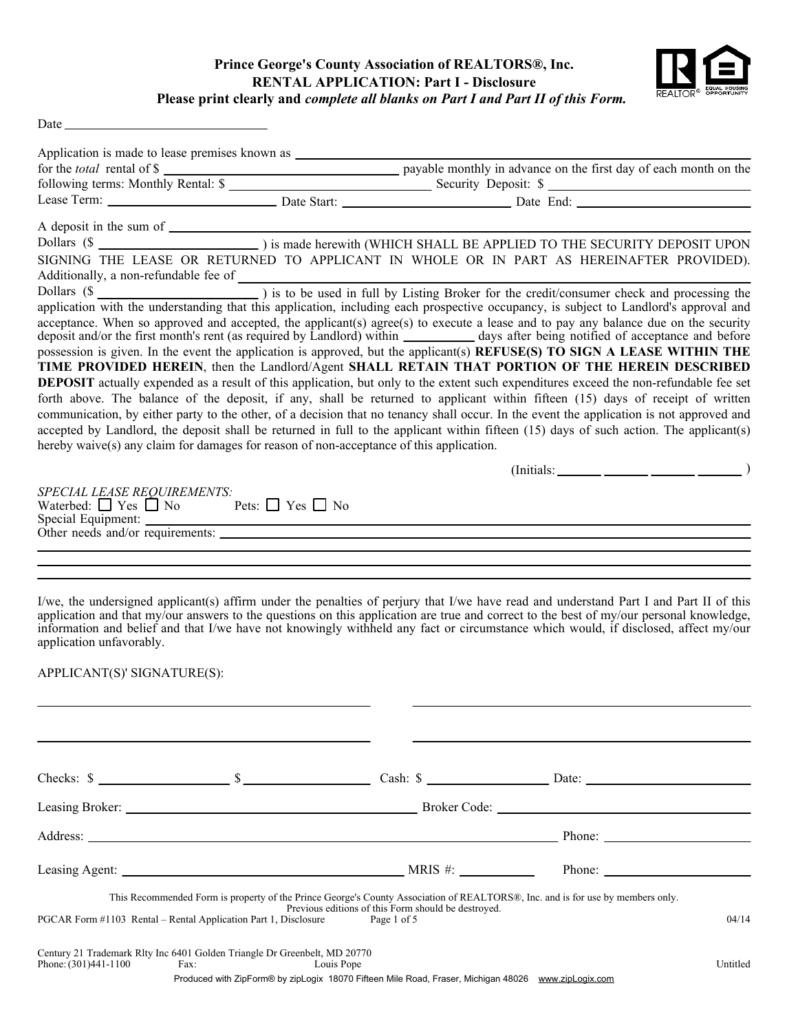## **Prince George's County Association of REALTORS®, Inc. RENTAL APPLICATION: Part I - Disclosure Please print clearly and** *complete all blanks on Part I and Part II of this Form.*



| Date. |  |
|-------|--|

| SIGNING THE LEASE OR RETURNED TO APPLICANT IN WHOLE OR IN PART AS HEREINAFTER PROVIDED).<br>acceptance. When so approved and accepted, the applicant(s) agree(s) to execute a lease and to pay any balance due on the security<br>deposit and/or the first month's rent (as required by Landlord) within __________ days after being notified of acceptance and before<br>SPECIAL LEASE REQUIREMENTS:<br>Waterbed: $\Box$ Yes $\Box$ No Pets: $\Box$ Yes $\Box$ No                                                                                                                                                                                                                                                                                                 |                        |
|--------------------------------------------------------------------------------------------------------------------------------------------------------------------------------------------------------------------------------------------------------------------------------------------------------------------------------------------------------------------------------------------------------------------------------------------------------------------------------------------------------------------------------------------------------------------------------------------------------------------------------------------------------------------------------------------------------------------------------------------------------------------|------------------------|
| Additionally, a non-refundable fee of<br>Dollars (\$<br>Dollars (\$<br>application with the understanding that this application, including each prospective occupancy, is subject to Landlord's approval and<br>possession is given. In the event the application is approved, but the applicant(s) REFUSE(S) TO SIGN A LEASE WITHIN THE                                                                                                                                                                                                                                                                                                                                                                                                                           |                        |
|                                                                                                                                                                                                                                                                                                                                                                                                                                                                                                                                                                                                                                                                                                                                                                    |                        |
|                                                                                                                                                                                                                                                                                                                                                                                                                                                                                                                                                                                                                                                                                                                                                                    |                        |
|                                                                                                                                                                                                                                                                                                                                                                                                                                                                                                                                                                                                                                                                                                                                                                    |                        |
|                                                                                                                                                                                                                                                                                                                                                                                                                                                                                                                                                                                                                                                                                                                                                                    |                        |
|                                                                                                                                                                                                                                                                                                                                                                                                                                                                                                                                                                                                                                                                                                                                                                    |                        |
|                                                                                                                                                                                                                                                                                                                                                                                                                                                                                                                                                                                                                                                                                                                                                                    |                        |
|                                                                                                                                                                                                                                                                                                                                                                                                                                                                                                                                                                                                                                                                                                                                                                    |                        |
| TIME PROVIDED HEREIN, then the Landlord/Agent SHALL RETAIN THAT PORTION OF THE HEREIN DESCRIBED<br><b>DEPOSIT</b> actually expended as a result of this application, but only to the extent such expenditures exceed the non-refundable fee set<br>forth above. The balance of the deposit, if any, shall be returned to applicant within fifteen (15) days of receipt of written<br>communication, by either party to the other, of a decision that no tenancy shall occur. In the event the application is not approved and<br>accepted by Landlord, the deposit shall be returned in full to the applicant within fifteen (15) days of such action. The applicant(s)<br>hereby waive(s) any claim for damages for reason of non-acceptance of this application. |                        |
|                                                                                                                                                                                                                                                                                                                                                                                                                                                                                                                                                                                                                                                                                                                                                                    |                        |
|                                                                                                                                                                                                                                                                                                                                                                                                                                                                                                                                                                                                                                                                                                                                                                    |                        |
|                                                                                                                                                                                                                                                                                                                                                                                                                                                                                                                                                                                                                                                                                                                                                                    |                        |
|                                                                                                                                                                                                                                                                                                                                                                                                                                                                                                                                                                                                                                                                                                                                                                    |                        |
|                                                                                                                                                                                                                                                                                                                                                                                                                                                                                                                                                                                                                                                                                                                                                                    |                        |
|                                                                                                                                                                                                                                                                                                                                                                                                                                                                                                                                                                                                                                                                                                                                                                    |                        |
|                                                                                                                                                                                                                                                                                                                                                                                                                                                                                                                                                                                                                                                                                                                                                                    |                        |
|                                                                                                                                                                                                                                                                                                                                                                                                                                                                                                                                                                                                                                                                                                                                                                    |                        |
| Other needs and/or requirements:                                                                                                                                                                                                                                                                                                                                                                                                                                                                                                                                                                                                                                                                                                                                   |                        |
|                                                                                                                                                                                                                                                                                                                                                                                                                                                                                                                                                                                                                                                                                                                                                                    |                        |
|                                                                                                                                                                                                                                                                                                                                                                                                                                                                                                                                                                                                                                                                                                                                                                    |                        |
|                                                                                                                                                                                                                                                                                                                                                                                                                                                                                                                                                                                                                                                                                                                                                                    |                        |
| I/we, the undersigned applicant(s) affirm under the penalties of perjury that I/we have read and understand Part I and Part II of this<br>application and that my/our answers to the questions on this application are true and correct to the best of my/our personal knowledge,<br>information and belief and that I/we have not knowingly withheld any fact or circumstance which would, if disclosed, affect my/our<br>application unfavorably.                                                                                                                                                                                                                                                                                                                |                        |
|                                                                                                                                                                                                                                                                                                                                                                                                                                                                                                                                                                                                                                                                                                                                                                    |                        |
| APPLICANT(S)' SIGNATURE(S):                                                                                                                                                                                                                                                                                                                                                                                                                                                                                                                                                                                                                                                                                                                                        |                        |
|                                                                                                                                                                                                                                                                                                                                                                                                                                                                                                                                                                                                                                                                                                                                                                    |                        |
|                                                                                                                                                                                                                                                                                                                                                                                                                                                                                                                                                                                                                                                                                                                                                                    |                        |
|                                                                                                                                                                                                                                                                                                                                                                                                                                                                                                                                                                                                                                                                                                                                                                    |                        |
|                                                                                                                                                                                                                                                                                                                                                                                                                                                                                                                                                                                                                                                                                                                                                                    |                        |
|                                                                                                                                                                                                                                                                                                                                                                                                                                                                                                                                                                                                                                                                                                                                                                    |                        |
| Leasing Broker: New York: New York: New York: New York: New York: New York: New York: New York: New York: New York: New York: New York: New York: New York: New York: New York: New York: New York: New York: New York: New Yo                                                                                                                                                                                                                                                                                                                                                                                                                                                                                                                                     |                        |
|                                                                                                                                                                                                                                                                                                                                                                                                                                                                                                                                                                                                                                                                                                                                                                    | Phone: $\qquad \qquad$ |
| Leasing Agent: New York 1989 and 2008, NRIS #: NRIS #: NRIS #: Phone:                                                                                                                                                                                                                                                                                                                                                                                                                                                                                                                                                                                                                                                                                              |                        |
|                                                                                                                                                                                                                                                                                                                                                                                                                                                                                                                                                                                                                                                                                                                                                                    |                        |
| This Recommended Form is property of the Prince George's County Association of REALTORS®, Inc. and is for use by members only.<br>Previous editions of this Form should be destroyed.                                                                                                                                                                                                                                                                                                                                                                                                                                                                                                                                                                              |                        |
| PGCAR Form #1103 Rental - Rental Application Part 1, Disclosure<br>Page 1 of 5                                                                                                                                                                                                                                                                                                                                                                                                                                                                                                                                                                                                                                                                                     | 04/14                  |
| Century 21 Trademark Rlty Inc 6401 Golden Triangle Dr Greenbelt, MD 20770                                                                                                                                                                                                                                                                                                                                                                                                                                                                                                                                                                                                                                                                                          |                        |
| Phone: (301)441-1100<br>Fax:<br>Louis Pope<br>Produced with ZipForm® by zipLogix 18070 Fifteen Mile Road, Fraser, Michigan 48026 www.zipLogix.com                                                                                                                                                                                                                                                                                                                                                                                                                                                                                                                                                                                                                  | Untitled               |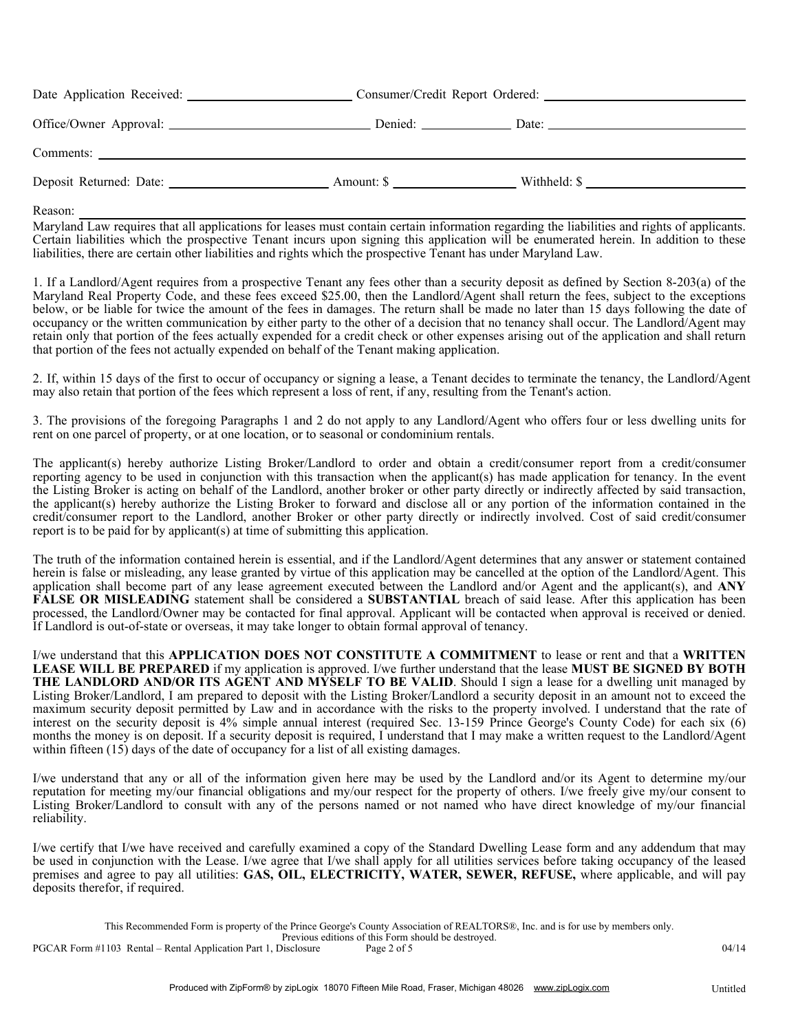| Amount: \$ | Withheld: $\frac{1}{2}$ $\frac{1}{2}$ $\frac{1}{2}$ $\frac{1}{2}$ $\frac{1}{2}$ $\frac{1}{2}$ $\frac{1}{2}$ $\frac{1}{2}$ $\frac{1}{2}$ $\frac{1}{2}$ $\frac{1}{2}$ $\frac{1}{2}$ $\frac{1}{2}$ $\frac{1}{2}$ $\frac{1}{2}$ $\frac{1}{2}$ $\frac{1}{2}$ $\frac{1}{2}$ $\frac{1}{2}$ $\frac{1}{2}$ $\frac{1}{2}$ |  |
|------------|-----------------------------------------------------------------------------------------------------------------------------------------------------------------------------------------------------------------------------------------------------------------------------------------------------------------|--|

Reason:

Maryland Law requires that all applications for leases must contain certain information regarding the liabilities and rights of applicants. Certain liabilities which the prospective Tenant incurs upon signing this application will be enumerated herein. In addition to these liabilities, there are certain other liabilities and rights which the prospective Tenant has under Maryland Law.

1. If a Landlord/Agent requires from a prospective Tenant any fees other than a security deposit as defined by Section 8-203(a) of the Maryland Real Property Code, and these fees exceed \$25.00, then the Landlord/Agent shall return the fees, subject to the exceptions below, or be liable for twice the amount of the fees in damages. The return shall be made no later than 15 days following the date of occupancy or the written communication by either party to the other of a decision that no tenancy shall occur. The Landlord/Agent may retain only that portion of the fees actually expended for a credit check or other expenses arising out of the application and shall return that portion of the fees not actually expended on behalf of the Tenant making application.

2. If, within 15 days of the first to occur of occupancy or signing a lease, a Tenant decides to terminate the tenancy, the Landlord/Agent may also retain that portion of the fees which represent a loss of rent, if any, resulting from the Tenant's action.

3. The provisions of the foregoing Paragraphs 1 and 2 do not apply to any Landlord/Agent who offers four or less dwelling units for rent on one parcel of property, or at one location, or to seasonal or condominium rentals.

The applicant(s) hereby authorize Listing Broker/Landlord to order and obtain a credit/consumer report from a credit/consumer reporting agency to be used in conjunction with this transaction when the applicant(s) has made application for tenancy. In the event the Listing Broker is acting on behalf of the Landlord, another broker or other party directly or indirectly affected by said transaction, the applicant(s) hereby authorize the Listing Broker to forward and disclose all or any portion of the information contained in the credit/consumer report to the Landlord, another Broker or other party directly or indirectly involved. Cost of said credit/consumer report is to be paid for by applicant(s) at time of submitting this application.

The truth of the information contained herein is essential, and if the Landlord/Agent determines that any answer or statement contained herein is false or misleading, any lease granted by virtue of this application may be cancelled at the option of the Landlord/Agent. This application shall become part of any lease agreement executed between the Landlord and/or Agent and the applicant(s), and **ANY FALSE OR MISLEADING** statement shall be considered a **SUBSTANTIAL** breach of said lease. After this application has been processed, the Landlord/Owner may be contacted for final approval. Applicant will be contacted when approval is received or denied. If Landlord is out-of-state or overseas, it may take longer to obtain formal approval of tenancy.

I/we understand that this **APPLICATION DOES NOT CONSTITUTE A COMMITMENT** to lease or rent and that a **WRITTEN LEASE WILL BE PREPARED** if my application is approved. I/we further understand that the lease **MUST BE SIGNED BY BOTH THE LANDLORD AND/OR ITS AGENT AND MYSELF TO BE VALID**. Should I sign a lease for a dwelling unit managed by Listing Broker/Landlord, I am prepared to deposit with the Listing Broker/Landlord a security deposit in an amount not to exceed the maximum security deposit permitted by Law and in accordance with the risks to the property involved. I understand that the rate of interest on the security deposit is 4% simple annual interest (required Sec. 13-159 Prince George's County Code) for each six (6) months the money is on deposit. If a security deposit is required, I understand that I may make a written request to the Landlord/Agent within fifteen (15) days of the date of occupancy for a list of all existing damages.

I/we understand that any or all of the information given here may be used by the Landlord and/or its Agent to determine my/our reputation for meeting my/our financial obligations and my/our respect for the property of others. I/we freely give my/our consent to Listing Broker/Landlord to consult with any of the persons named or not named who have direct knowledge of my/our financial reliability.

I/we certify that I/we have received and carefully examined a copy of the Standard Dwelling Lease form and any addendum that may be used in conjunction with the Lease. I/we agree that I/we shall apply for all utilities services before taking occupancy of the leased premises and agree to pay all utilities: **GAS, OIL, ELECTRICITY, WATER, SEWER, REFUSE,** where applicable, and will pay deposits therefor, if required.

Previous editions of this Form should be destroyed.<br>Disclosure Page 2 of 5

PGCAR Form #1103 Rental – Rental Application Part 1, Disclosure Page 2 of 5 04/14

This Recommended Form is property of the Prince George's County Association of REALTORS®, Inc. and is for use by members only.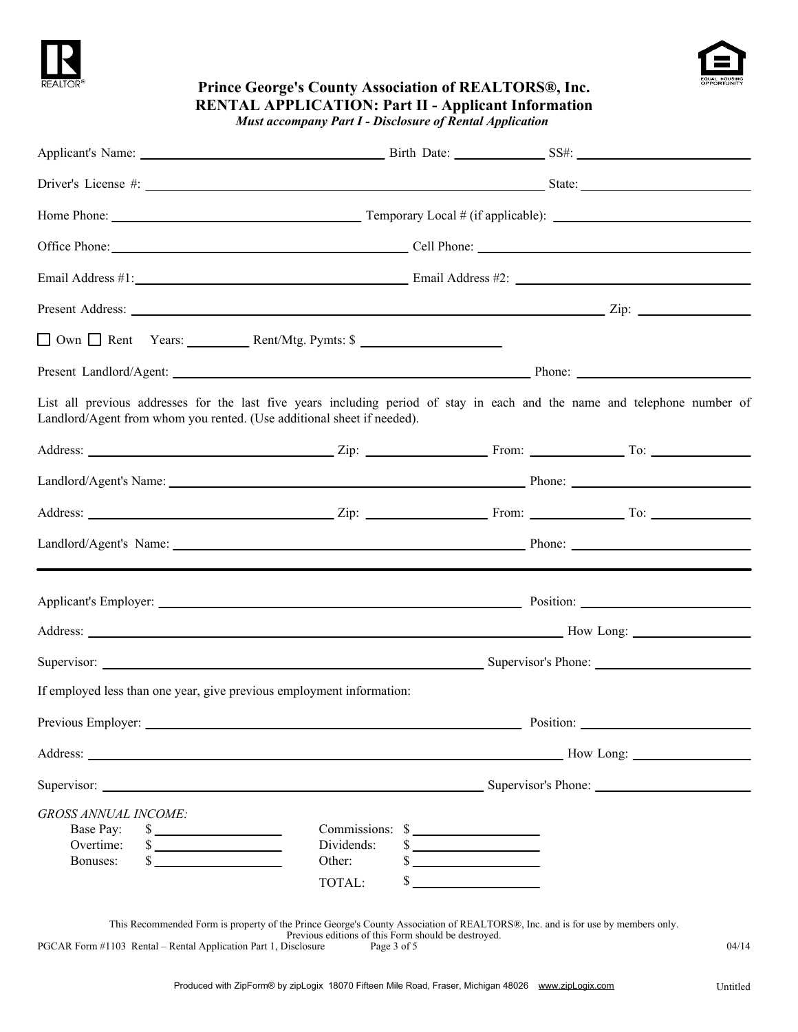



| REALTOR <sup>®</sup>        | <b>Prince George's County Association of REALTORS®, Inc.</b><br><b>RENTAL APPLICATION: Part II - Applicant Information</b>                                                                                                     | <b>Must accompany Part I - Disclosure of Rental Application</b> |                     | EQUAL HOUSING |
|-----------------------------|--------------------------------------------------------------------------------------------------------------------------------------------------------------------------------------------------------------------------------|-----------------------------------------------------------------|---------------------|---------------|
|                             | Applicant's Name: Sample 2014 and 2015 and 2016 and 2017 and 2018 and 2017 and 2018 and 2018 and 2019 and 2018 and 2019 and 2019 and 2019 and 2019 and 2019 and 2019 and 2019 and 2019 and 2019 and 2019 and 2019 and 2019 and |                                                                 |                     |               |
|                             |                                                                                                                                                                                                                                |                                                                 |                     |               |
|                             |                                                                                                                                                                                                                                |                                                                 |                     |               |
|                             | Office Phone: Cell Phone: Cell Phone: Cell Phone: Cell Phone: Cell Phone: Cell Phone: Cell Phone: Cell Phone: Cell Phone: Cell Phone: Cell Phone: Cell Phone: Cell Phone: Cell Phone: Cell Phone: Cell Phone: Cell Phone: Cell |                                                                 |                     |               |
|                             |                                                                                                                                                                                                                                |                                                                 |                     |               |
|                             |                                                                                                                                                                                                                                |                                                                 |                     |               |
|                             |                                                                                                                                                                                                                                |                                                                 |                     |               |
|                             |                                                                                                                                                                                                                                |                                                                 |                     |               |
|                             | List all previous addresses for the last five years including period of stay in each and the name and telephone number of<br>Landlord/Agent from whom you rented. (Use additional sheet if needed).                            |                                                                 |                     |               |
|                             |                                                                                                                                                                                                                                |                                                                 |                     |               |
|                             |                                                                                                                                                                                                                                |                                                                 |                     |               |
|                             |                                                                                                                                                                                                                                |                                                                 |                     |               |
|                             |                                                                                                                                                                                                                                |                                                                 |                     |               |
|                             |                                                                                                                                                                                                                                |                                                                 |                     |               |
|                             |                                                                                                                                                                                                                                |                                                                 |                     |               |
| Supervisor:                 |                                                                                                                                                                                                                                |                                                                 | Supervisor's Phone: |               |
|                             | If employed less than one year, give previous employment information:                                                                                                                                                          |                                                                 |                     |               |
|                             |                                                                                                                                                                                                                                |                                                                 |                     |               |
|                             |                                                                                                                                                                                                                                |                                                                 |                     |               |
|                             |                                                                                                                                                                                                                                |                                                                 |                     |               |
| <b>GROSS ANNUAL INCOME:</b> |                                                                                                                                                                                                                                |                                                                 |                     |               |
| Base Pay:                   | $\frac{\text{S}}{\text{S}}$                                                                                                                                                                                                    | Commissions: \$                                                 |                     |               |
| Overtime:<br>Bonuses:       | $\frac{\text{S}}{\text{S}}$<br>$\sim$                                                                                                                                                                                          | Dividends:<br>$\sim$<br>Other:                                  |                     |               |
|                             |                                                                                                                                                                                                                                | $\sim$                                                          |                     |               |
|                             |                                                                                                                                                                                                                                | $\sim$<br>TOTAL:                                                |                     |               |
|                             | This Recommended Form is property of the Prince George's County Association of REALTORS®, Inc. and is for use by members only.                                                                                                 | Previous editions of this Form should be destroyed.             |                     |               |

PGCAR Form #1103 Rental – Rental Application Part 1, Disclosure Page 3 of 5 04/14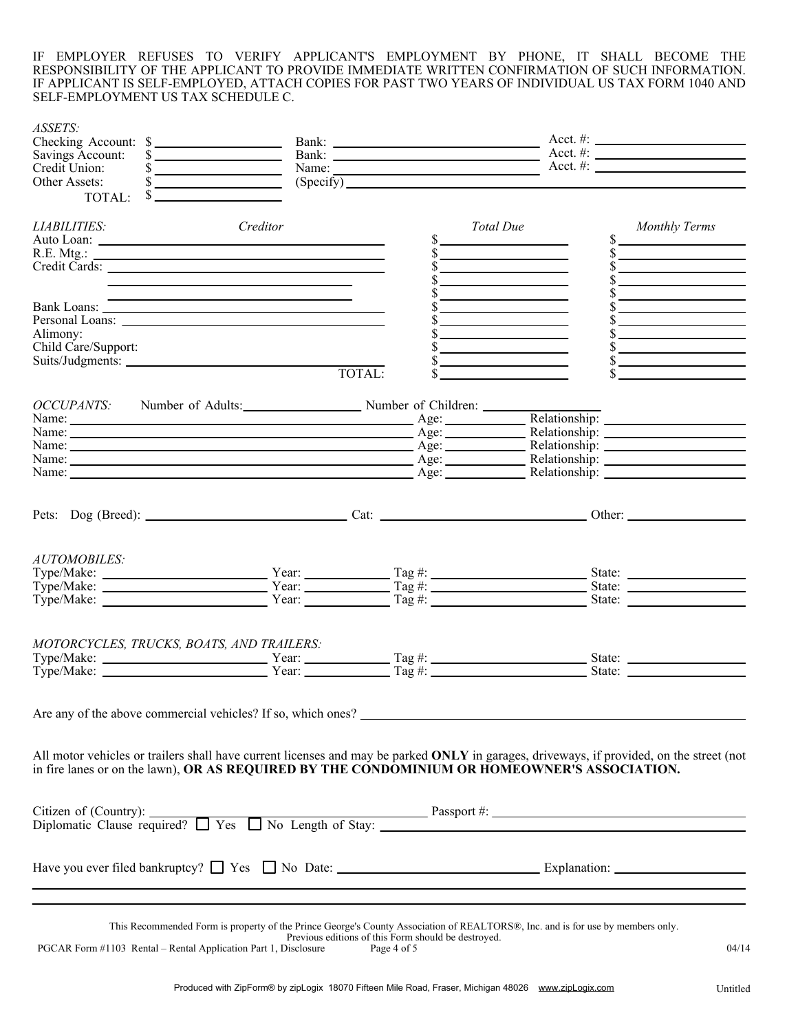IF EMPLOYER REFUSES TO VERIFY APPLICANT'S EMPLOYMENT BY PHONE, IT SHALL BECOME THE RESPONSIBILITY OF THE APPLICANT TO PROVIDE IMMEDIATE WRITTEN CONFIRMATION OF SUCH INFORMATION. IF APPLICANT IS SELF-EMPLOYED, ATTACH COPIES FOR PAST TWO YEARS OF INDIVIDUAL US TAX FORM 1040 AND SELF-EMPLOYMENT US TAX SCHEDULE C.

| ASSETS:<br>Checking Account: \$<br>Savings Account:                                                                                                                                                                                      | $\sim$                                                                                                                                                                                                                                                                                                                                                                                                                    |                                                     | Bank: $\overline{\phantom{a}}$ Acct. #:                          | Acct. #: $\_$                                     |
|------------------------------------------------------------------------------------------------------------------------------------------------------------------------------------------------------------------------------------------|---------------------------------------------------------------------------------------------------------------------------------------------------------------------------------------------------------------------------------------------------------------------------------------------------------------------------------------------------------------------------------------------------------------------------|-----------------------------------------------------|------------------------------------------------------------------|---------------------------------------------------|
| Credit Union:                                                                                                                                                                                                                            | $\frac{\frac{1}{2}}{\frac{1}{2}}$                                                                                                                                                                                                                                                                                                                                                                                         |                                                     | Name: $\overline{\phantom{a}}$ Acct. #: $\overline{\phantom{a}}$ |                                                   |
| Other Assets:                                                                                                                                                                                                                            | $\frac{1}{\sqrt{1-\frac{1}{2}}-\frac{1}{2-\frac{1}{2}}-\frac{1}{2-\frac{1}{2}}-\frac{1}{2-\frac{1}{2}}-\frac{1}{2-\frac{1}{2}}-\frac{1}{2-\frac{1}{2}}-\frac{1}{2-\frac{1}{2}}-\frac{1}{2-\frac{1}{2}}-\frac{1}{2-\frac{1}{2}}-\frac{1}{2-\frac{1}{2}}-\frac{1}{2-\frac{1}{2}}-\frac{1}{2-\frac{1}{2}}-\frac{1}{2-\frac{1}{2}}-\frac{1}{2-\frac{1}{2}}-\frac{1}{2-\frac{1}{2}}-\frac{1}{2-\frac{1}{2}}-\frac{1}{2-\frac{$ | (Specify)                                           |                                                                  |                                                   |
| TOTAL:                                                                                                                                                                                                                                   |                                                                                                                                                                                                                                                                                                                                                                                                                           |                                                     |                                                                  |                                                   |
| <b>LIABILITIES:</b>                                                                                                                                                                                                                      | Creditor                                                                                                                                                                                                                                                                                                                                                                                                                  |                                                     | Total Due                                                        | <b>Monthly Terms</b>                              |
|                                                                                                                                                                                                                                          |                                                                                                                                                                                                                                                                                                                                                                                                                           |                                                     |                                                                  | $\mathbb{S}$ .                                    |
|                                                                                                                                                                                                                                          |                                                                                                                                                                                                                                                                                                                                                                                                                           |                                                     |                                                                  |                                                   |
| Credit Cards:                                                                                                                                                                                                                            |                                                                                                                                                                                                                                                                                                                                                                                                                           |                                                     | <u> 1989 - Johann Barn, mars ar breis an t-</u>                  | $\sim$                                            |
|                                                                                                                                                                                                                                          | <u> 1989 - Johann Barn, amerikansk politiker (d. 1989)</u>                                                                                                                                                                                                                                                                                                                                                                |                                                     |                                                                  | s                                                 |
|                                                                                                                                                                                                                                          |                                                                                                                                                                                                                                                                                                                                                                                                                           |                                                     |                                                                  | $\sim$                                            |
|                                                                                                                                                                                                                                          |                                                                                                                                                                                                                                                                                                                                                                                                                           |                                                     | <u> 1989 - Johann Barn, mars et al.</u>                          | the control of the control of the control of      |
|                                                                                                                                                                                                                                          |                                                                                                                                                                                                                                                                                                                                                                                                                           |                                                     |                                                                  | <u> 1989 - Andrea State Barbara, amerikan per</u> |
| Alimony:                                                                                                                                                                                                                                 |                                                                                                                                                                                                                                                                                                                                                                                                                           |                                                     | <u> Alexandria de la contrada de la con</u>                      | $\frac{\text{S}}{\text{S}}$                       |
| Child Care/Support:                                                                                                                                                                                                                      |                                                                                                                                                                                                                                                                                                                                                                                                                           |                                                     |                                                                  | $\sim$                                            |
|                                                                                                                                                                                                                                          |                                                                                                                                                                                                                                                                                                                                                                                                                           |                                                     | <u> 1980 - Jan Barat, martin a</u>                               | $\frac{1}{2}$                                     |
|                                                                                                                                                                                                                                          |                                                                                                                                                                                                                                                                                                                                                                                                                           | TOTAL:                                              | <u> 1989 - John Stone, mars et al.</u>                           | $\overline{\text{s}}$                             |
|                                                                                                                                                                                                                                          |                                                                                                                                                                                                                                                                                                                                                                                                                           |                                                     |                                                                  |                                                   |
| OCCUPANTS: Number of Adults:<br>Name: Age: Relationship: Age: Relationship: Age: Relationship: Age: Relationship: Age: Relationship: Age: Relationship: 2014                                                                             |                                                                                                                                                                                                                                                                                                                                                                                                                           |                                                     |                                                                  |                                                   |
|                                                                                                                                                                                                                                          |                                                                                                                                                                                                                                                                                                                                                                                                                           |                                                     |                                                                  |                                                   |
|                                                                                                                                                                                                                                          |                                                                                                                                                                                                                                                                                                                                                                                                                           |                                                     |                                                                  |                                                   |
| Name: <u>Name:</u> Age: Relationship: 2008.                                                                                                                                                                                              |                                                                                                                                                                                                                                                                                                                                                                                                                           |                                                     |                                                                  |                                                   |
| Name: Name: Name: Name: Name: Name: Name: Name: Name: Name: Name: Name: Name: Name: Name: Name: Name: Name: Name: Name: Name: Name: Name: Name: Name: Name: Name: Name: Name: Name: Name: Name: Name: Name: Name: Name: Name:            |                                                                                                                                                                                                                                                                                                                                                                                                                           |                                                     |                                                                  |                                                   |
|                                                                                                                                                                                                                                          |                                                                                                                                                                                                                                                                                                                                                                                                                           |                                                     |                                                                  |                                                   |
|                                                                                                                                                                                                                                          |                                                                                                                                                                                                                                                                                                                                                                                                                           |                                                     |                                                                  |                                                   |
|                                                                                                                                                                                                                                          |                                                                                                                                                                                                                                                                                                                                                                                                                           |                                                     |                                                                  |                                                   |
|                                                                                                                                                                                                                                          |                                                                                                                                                                                                                                                                                                                                                                                                                           |                                                     |                                                                  |                                                   |
| <b>AUTOMOBILES:</b>                                                                                                                                                                                                                      |                                                                                                                                                                                                                                                                                                                                                                                                                           |                                                     |                                                                  |                                                   |
|                                                                                                                                                                                                                                          |                                                                                                                                                                                                                                                                                                                                                                                                                           |                                                     |                                                                  |                                                   |
| $Type/Make:$<br>$Type/Make:$<br>$Type/Make:$<br>$Year:$<br>$Year:$<br>$Year:$<br>$Tag#:$<br>$Tag#:$<br>$Tag#:$<br>$Tag#:$<br>$Tag#:$<br>$Tag#:$<br>$Stage:$<br>$State:$<br>$State:$                                                      |                                                                                                                                                                                                                                                                                                                                                                                                                           |                                                     |                                                                  |                                                   |
| $Type/Make:$ $\overline{\phantom{array}}$ $Year:$ $Year:$ $\overline{\phantom{array}}$ $Tag #:$ $\overline{\phantom{array}}$ $Tag #:$ $State:$ $State:$                                                                                  |                                                                                                                                                                                                                                                                                                                                                                                                                           |                                                     |                                                                  |                                                   |
|                                                                                                                                                                                                                                          |                                                                                                                                                                                                                                                                                                                                                                                                                           |                                                     |                                                                  |                                                   |
|                                                                                                                                                                                                                                          |                                                                                                                                                                                                                                                                                                                                                                                                                           |                                                     |                                                                  |                                                   |
| MOTORCYCLES, TRUCKS, BOATS, AND TRAILERS:                                                                                                                                                                                                |                                                                                                                                                                                                                                                                                                                                                                                                                           |                                                     |                                                                  |                                                   |
|                                                                                                                                                                                                                                          |                                                                                                                                                                                                                                                                                                                                                                                                                           |                                                     |                                                                  |                                                   |
|                                                                                                                                                                                                                                          |                                                                                                                                                                                                                                                                                                                                                                                                                           |                                                     |                                                                  |                                                   |
|                                                                                                                                                                                                                                          |                                                                                                                                                                                                                                                                                                                                                                                                                           |                                                     |                                                                  |                                                   |
| Are any of the above commercial vehicles? If so, which ones?                                                                                                                                                                             |                                                                                                                                                                                                                                                                                                                                                                                                                           |                                                     |                                                                  |                                                   |
|                                                                                                                                                                                                                                          |                                                                                                                                                                                                                                                                                                                                                                                                                           |                                                     |                                                                  |                                                   |
| All motor vehicles or trailers shall have current licenses and may be parked ONLY in garages, driveways, if provided, on the street (not<br>in fire lanes or on the lawn), OR AS REQUIRED BY THE CONDOMINIUM OR HOMEOWNER'S ASSOCIATION. |                                                                                                                                                                                                                                                                                                                                                                                                                           |                                                     |                                                                  |                                                   |
|                                                                                                                                                                                                                                          |                                                                                                                                                                                                                                                                                                                                                                                                                           |                                                     |                                                                  |                                                   |
|                                                                                                                                                                                                                                          |                                                                                                                                                                                                                                                                                                                                                                                                                           |                                                     |                                                                  |                                                   |
|                                                                                                                                                                                                                                          |                                                                                                                                                                                                                                                                                                                                                                                                                           |                                                     |                                                                  |                                                   |
|                                                                                                                                                                                                                                          |                                                                                                                                                                                                                                                                                                                                                                                                                           |                                                     |                                                                  |                                                   |
|                                                                                                                                                                                                                                          |                                                                                                                                                                                                                                                                                                                                                                                                                           |                                                     |                                                                  |                                                   |
|                                                                                                                                                                                                                                          | <u> 1989 - Jan Samuel Barbara, margaret a shekara ta 1989 - An tsara tsara tsara tsara tsara tsara tsara tsara ts</u>                                                                                                                                                                                                                                                                                                     |                                                     |                                                                  |                                                   |
|                                                                                                                                                                                                                                          | ,我们也不会有什么。""我们的人,我们也不会有什么?""我们的人,我们也不会有什么?""我们的人,我们也不会有什么?""我们的人,我们也不会有什么?""我们的人                                                                                                                                                                                                                                                                                                                                          |                                                     |                                                                  |                                                   |
|                                                                                                                                                                                                                                          |                                                                                                                                                                                                                                                                                                                                                                                                                           |                                                     |                                                                  |                                                   |
|                                                                                                                                                                                                                                          | This Recommended Form is property of the Prince George's County Association of REALTORS®, Inc. and is for use by members only.                                                                                                                                                                                                                                                                                            | Previous editions of this Form should be destroyed. |                                                                  |                                                   |
| PGCAR Form #1103 Rental - Rental Application Part 1, Disclosure                                                                                                                                                                          |                                                                                                                                                                                                                                                                                                                                                                                                                           | Page 4 of 5                                         |                                                                  |                                                   |